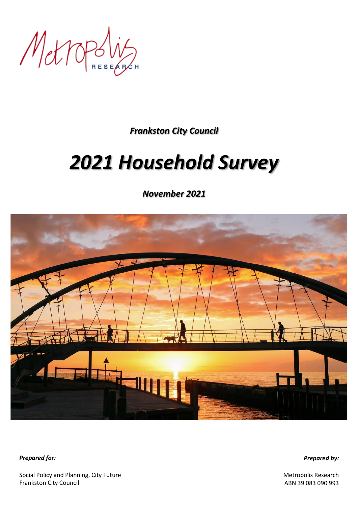Metropolis

*Frankston City Council*

# *2021 Household Survey*

*November 2021*



*Prepared for:*

*Prepared by:*

Social Policy and Planning, City Future Frankston City Council

Metropolis Research ABN 39 083 090 993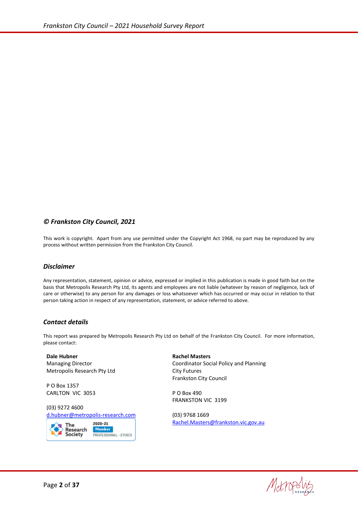#### *© Frankston City Council, 2021*

This work is copyright. Apart from any use permitted under the Copyright Act 1968, no part may be reproduced by any process without written permission from the Frankston City Council.

#### *Disclaimer*

Any representation, statement, opinion or advice, expressed or implied in this publication is made in good faith but on the basis that Metropolis Research Pty Ltd, its agents and employees are not liable (whatever by reason of negligence, lack of care or otherwise) to any person for any damages or loss whatsoever which has occurred or may occur in relation to that person taking action in respect of any representation, statement, or advice referred to above.

#### *Contact details*

This report was prepared by Metropolis Research Pty Ltd on behalf of the Frankston City Council. For more information, please contact:

**Dale Hubner** Managing Director Metropolis Research Pty Ltd

P O Box 1357 CARLTON VIC 3053

(03) 9272 4600 [d.hubner@metropolis-research.com](mailto:d.hubner@metropolis-research.com)



**Rachel Masters** Coordinator Social Policy and Planning City Futures Frankston City Council

P O Box 490 FRANKSTON VIC 3199

(03) 9768 1669 [Rachel.Masters@frankston.vic.gov.au](mailto:Rachel.Masters@frankston.vic.gov.au)

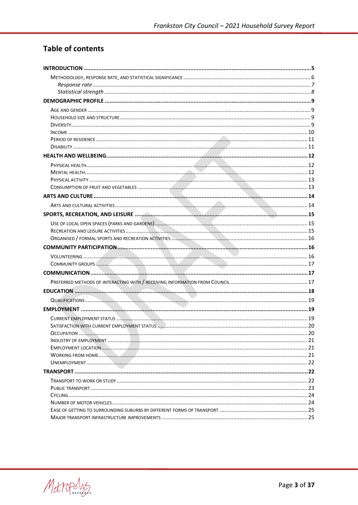# **Table of contents**

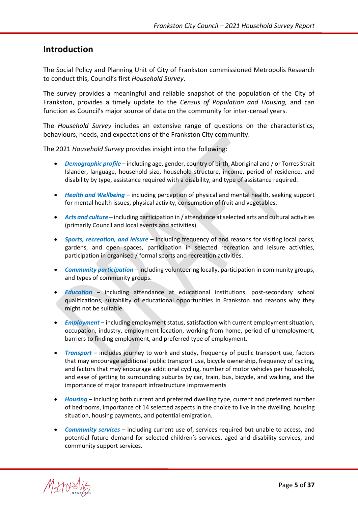## <span id="page-4-0"></span>**Introduction**

The Social Policy and Planning Unit of City of Frankston commissioned Metropolis Research to conduct this, Council's first *Household Survey*.

The survey provides a meaningful and reliable snapshot of the population of the City of Frankston, provides a timely update to the *Census of Population and Housing,* and can function as Council's major source of data on the community for inter-censal years.

The *Household Survey* includes an extensive range of questions on the characteristics, behaviours, needs, and expectations of the Frankston City community.

The 2021 *Household Survey* provides insight into the following:

- *Demographic profile* including age, gender, country of birth, Aboriginal and / or Torres Strait Islander, language, household size, household structure, income, period of residence, and disability by type, assistance required with a disability, and type of assistance required.
- *Health and Wellbeing* including perception of physical and mental health, seeking support for mental health issues, physical activity, consumption of fruit and vegetables.
- *Arts and culture* including participation in / attendance at selected arts and cultural activities (primarily Council and local events and activities).
- *Sports, recreation, and leisure* including frequency of and reasons for visiting local parks, gardens, and open spaces, participation in selected recreation and leisure activities, participation in organised / formal sports and recreation activities.
- *Community participation* including volunteering locally, participation in community groups, and types of community groups.
- *Education* including attendance at educational institutions, post-secondary school qualifications, suitability of educational opportunities in Frankston and reasons why they might not be suitable.
- *Employment* including employment status, satisfaction with current employment situation, occupation, industry, employment location, working from home, period of unemployment, barriers to finding employment, and preferred type of employment.
- *Transport* includes journey to work and study, frequency of public transport use, factors that may encourage additional public transport use, bicycle ownership, frequency of cycling, and factors that may encourage additional cycling, number of motor vehicles per household, and ease of getting to surrounding suburbs by car, train, bus, bicycle, and walking, and the importance of major transport infrastructure improvements
- *Housing* including both current and preferred dwelling type, current and preferred number of bedrooms, importance of 14 selected aspects in the choice to live in the dwelling, housing situation, housing payments, and potential emigration.
- *Community services* including current use of, services required but unable to access, and potential future demand for selected children's services, aged and disability services, and community support services.

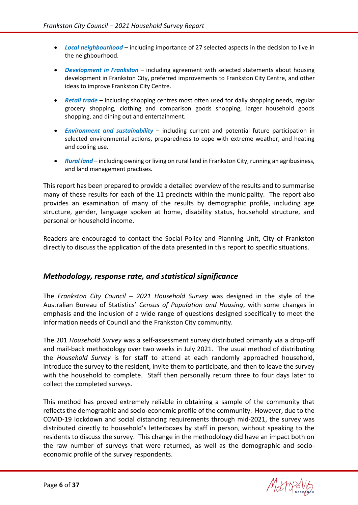- *Local neighbourhood* including importance of 27 selected aspects in the decision to live in the neighbourhood.
- *Development in Frankston* including agreement with selected statements about housing development in Frankston City, preferred improvements to Frankston City Centre, and other ideas to improve Frankston City Centre.
- *Retail trade* including shopping centres most often used for daily shopping needs, regular grocery shopping, clothing and comparison goods shopping, larger household goods shopping, and dining out and entertainment.
- *Environment and sustainability* including current and potential future participation in selected environmental actions, preparedness to cope with extreme weather, and heating and cooling use.
- *Rural land* including owning or living on rural land in Frankston City, running an agribusiness, and land management practises.

This report has been prepared to provide a detailed overview of the results and to summarise many of these results for each of the 11 precincts within the municipality. The report also provides an examination of many of the results by demographic profile, including age structure, gender, language spoken at home, disability status, household structure, and personal or household income.

Readers are encouraged to contact the Social Policy and Planning Unit, City of Frankston directly to discuss the application of the data presented in this report to specific situations.

#### <span id="page-5-0"></span>*Methodology, response rate, and statistical significance*

The *Frankston City Council – 2021 Household Survey* was designed in the style of the Australian Bureau of Statistics' *Census of Population and Housing*, with some changes in emphasis and the inclusion of a wide range of questions designed specifically to meet the information needs of Council and the Frankston City community.

The 201 *Household Survey* was a self-assessment survey distributed primarily via a drop-off and mail-back methodology over two weeks in July 2021. The usual method of distributing the *Household Survey* is for staff to attend at each randomly approached household, introduce the survey to the resident, invite them to participate, and then to leave the survey with the household to complete. Staff then personally return three to four days later to collect the completed surveys.

This method has proved extremely reliable in obtaining a sample of the community that reflects the demographic and socio-economic profile of the community. However, due to the COVID-19 lockdown and social distancing requirements through mid-2021, the survey was distributed directly to household's letterboxes by staff in person, without speaking to the residents to discuss the survey. This change in the methodology did have an impact both on the raw number of surveys that were returned, as well as the demographic and socioeconomic profile of the survey respondents.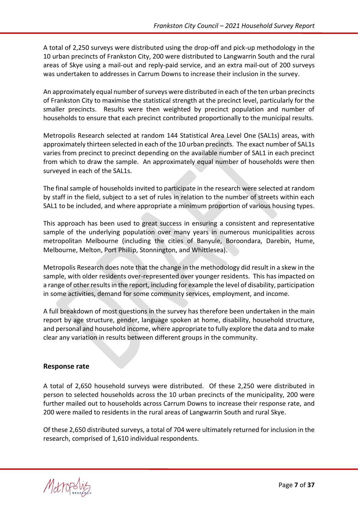A total of 2,250 surveys were distributed using the drop-off and pick-up methodology in the 10 urban precincts of Frankston City, 200 were distributed to Langwarrin South and the rural areas of Skye using a mail-out and reply-paid service, and an extra mail-out of 200 surveys was undertaken to addresses in Carrum Downs to increase their inclusion in the survey.

An approximately equal number of surveys were distributed in each of the ten urban precincts of Frankston City to maximise the statistical strength at the precinct level, particularly for the smaller precincts. Results were then weighted by precinct population and number of households to ensure that each precinct contributed proportionally to the municipal results.

Metropolis Research selected at random 144 Statistical Area Level One (SAL1s) areas, with approximately thirteen selected in each of the 10 urban precincts. The exact number of SAL1s varies from precinct to precinct depending on the available number of SAL1 in each precinct from which to draw the sample. An approximately equal number of households were then surveyed in each of the SAL1s.

The final sample of households invited to participate in the research were selected at random by staff in the field, subject to a set of rules in relation to the number of streets within each SAL1 to be included, and where appropriate a minimum proportion of various housing types.

This approach has been used to great success in ensuring a consistent and representative sample of the underlying population over many years in numerous municipalities across metropolitan Melbourne (including the cities of Banyule, Boroondara, Darebin, Hume, Melbourne, Melton, Port Phillip, Stonnington, and Whittlesea).

Metropolis Research does note that the change in the methodology did result in a skew in the sample, with older residents over-represented over younger residents. This has impacted on a range of other results in the report, including for example the level of disability, participation in some activities, demand for some community services, employment, and income.

A full breakdown of most questions in the survey has therefore been undertaken in the main report by age structure, gender, language spoken at home, disability, household structure, and personal and household income, where appropriate to fully explore the data and to make clear any variation in results between different groups in the community.

#### <span id="page-6-0"></span>**Response rate**

A total of 2,650 household surveys were distributed. Of these 2,250 were distributed in person to selected households across the 10 urban precincts of the municipality, 200 were further mailed out to households across Carrum Downs to increase their response rate, and 200 were mailed to residents in the rural areas of Langwarrin South and rural Skye.

Of these 2,650 distributed surveys, a total of 704 were ultimately returned for inclusion in the research, comprised of 1,610 individual respondents.

Metropoly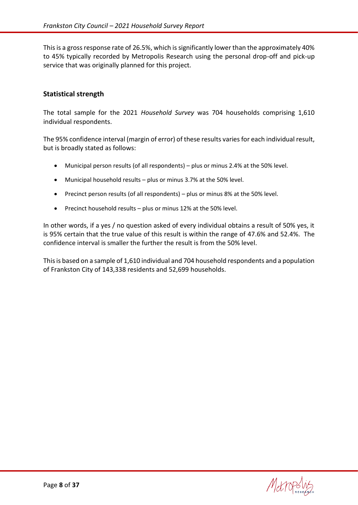This is a gross response rate of 26.5%, which is significantly lower than the approximately 40% to 45% typically recorded by Metropolis Research using the personal drop-off and pick-up service that was originally planned for this project.

#### <span id="page-7-0"></span>**Statistical strength**

The total sample for the 2021 *Household Survey* was 704 households comprising 1,610 individual respondents.

The 95% confidence interval (margin of error) of these results varies for each individual result, but is broadly stated as follows:

- Municipal person results (of all respondents) plus or minus 2.4% at the 50% level.
- Municipal household results plus or minus 3.7% at the 50% level.
- Precinct person results (of all respondents) plus or minus 8% at the 50% level.
- Precinct household results plus or minus 12% at the 50% level.

In other words, if a yes / no question asked of every individual obtains a result of 50% yes, it is 95% certain that the true value of this result is within the range of 47.6% and 52.4%. The confidence interval is smaller the further the result is from the 50% level.

This is based on a sample of 1,610 individual and 704 household respondents and a population of Frankston City of 143,338 residents and 52,699 households.

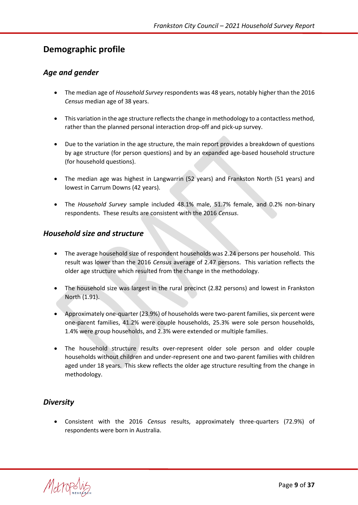# <span id="page-8-0"></span>**Demographic profile**

#### <span id="page-8-1"></span>*Age and gender*

- The median age of *Household Survey* respondents was 48 years, notably higher than the 2016 *Census* median age of 38 years.
- This variation in the age structure reflects the change in methodology to a contactless method, rather than the planned personal interaction drop-off and pick-up survey.
- Due to the variation in the age structure, the main report provides a breakdown of questions by age structure (for person questions) and by an expanded age-based household structure (for household questions).
- The median age was highest in Langwarrin (52 years) and Frankston North (51 years) and lowest in Carrum Downs (42 years).
- The *Household Survey* sample included 48.1% male, 51.7% female, and 0.2% non-binary respondents. These results are consistent with the 2016 *Census*.

#### <span id="page-8-2"></span>*Household size and structure*

- The average household size of respondent households was 2.24 persons per household. This result was lower than the 2016 *Census* average of 2.47 persons. This variation reflects the older age structure which resulted from the change in the methodology.
- The household size was largest in the rural precinct (2.82 persons) and lowest in Frankston North (1.91).
- Approximately one-quarter (23.9%) of households were two-parent families, six percent were one-parent families, 41.2% were couple households, 25.3% were sole person households, 1.4% were group households, and 2.3% were extended or multiple families.
- The household structure results over-represent older sole person and older couple households without children and under-represent one and two-parent families with children aged under 18 years. This skew reflects the older age structure resulting from the change in methodology.

## <span id="page-8-3"></span>*Diversity*

• Consistent with the 2016 *Census* results, approximately three-quarters (72.9%) of respondents were born in Australia.

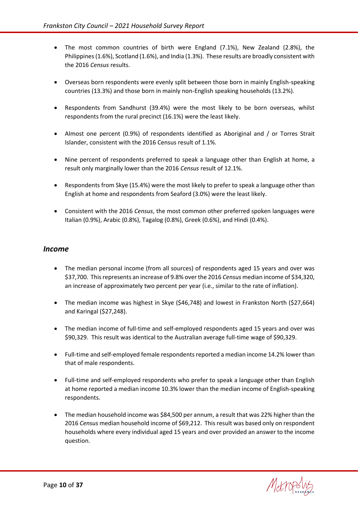- The most common countries of birth were England (7.1%), New Zealand (2.8%), the Philippines (1.6%), Scotland (1.6%), and India (1.3%). These results are broadly consistent with the 2016 *Census* results.
- Overseas born respondents were evenly split between those born in mainly English-speaking countries (13.3%) and those born in mainly non-English speaking households (13.2%).
- Respondents from Sandhurst (39.4%) were the most likely to be born overseas, whilst respondents from the rural precinct (16.1%) were the least likely.
- Almost one percent (0.9%) of respondents identified as Aboriginal and / or Torres Strait Islander, consistent with the 2016 Census result of 1.1%.
- Nine percent of respondents preferred to speak a language other than English at home, a result only marginally lower than the 2016 *Census* result of 12.1%.
- Respondents from Skye (15.4%) were the most likely to prefer to speak a language other than English at home and respondents from Seaford (3.0%) were the least likely.
- Consistent with the 2016 *Census*, the most common other preferred spoken languages were Italian (0.9%), Arabic (0.8%), Tagalog (0.8%), Greek (0.6%), and Hindi (0.4%).

#### <span id="page-9-0"></span>*Income*

- The median personal income (from all sources) of respondents aged 15 years and over was \$37,700. This represents an increase of 9.8% over the 2016 *Census* median income of \$34,320, an increase of approximately two percent per year (i.e., similar to the rate of inflation).
- The median income was highest in Skye (\$46,748) and lowest in Frankston North (\$27,664) and Karingal (\$27,248).
- The median income of full-time and self-employed respondents aged 15 years and over was \$90,329. This result was identical to the Australian average full-time wage of \$90,329.
- Full-time and self-employed female respondents reported a median income 14.2% lower than that of male respondents.
- Full-time and self-employed respondents who prefer to speak a language other than English at home reported a median income 10.3% lower than the median income of English-speaking respondents.
- The median household income was \$84,500 per annum, a result that was 22% higher than the 2016 *Census* median household income of \$69,212. This result was based only on respondent households where every individual aged 15 years and over provided an answer to the income question.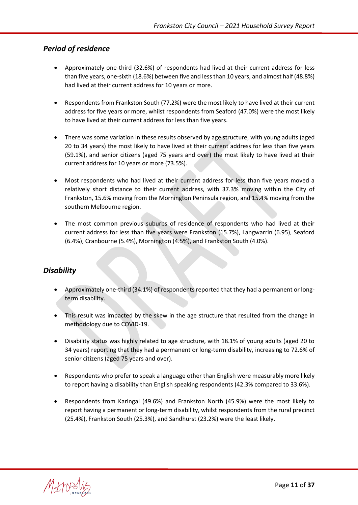#### <span id="page-10-0"></span>*Period of residence*

- Approximately one-third (32.6%) of respondents had lived at their current address for less than five years, one-sixth (18.6%) between five and less than 10 years, and almost half (48.8%) had lived at their current address for 10 years or more.
- Respondents from Frankston South (77.2%) were the most likely to have lived at their current address for five years or more, whilst respondents from Seaford (47.0%) were the most likely to have lived at their current address for less than five years.
- There was some variation in these results observed by age structure, with young adults (aged 20 to 34 years) the most likely to have lived at their current address for less than five years (59.1%), and senior citizens (aged 75 years and over) the most likely to have lived at their current address for 10 years or more (73.5%).
- Most respondents who had lived at their current address for less than five years moved a relatively short distance to their current address, with 37.3% moving within the City of Frankston, 15.6% moving from the Mornington Peninsula region, and 15.4% moving from the southern Melbourne region.
- The most common previous suburbs of residence of respondents who had lived at their current address for less than five years were Frankston (15.7%), Langwarrin (6.95), Seaford (6.4%), Cranbourne (5.4%), Mornington (4.5%), and Frankston South (4.0%).

#### <span id="page-10-1"></span>*Disability*

- Approximately one-third (34.1%) of respondents reported that they had a permanent or longterm disability.
- This result was impacted by the skew in the age structure that resulted from the change in methodology due to COVID-19.
- Disability status was highly related to age structure, with 18.1% of young adults (aged 20 to 34 years) reporting that they had a permanent or long-term disability, increasing to 72.6% of senior citizens (aged 75 years and over).
- Respondents who prefer to speak a language other than English were measurably more likely to report having a disability than English speaking respondents (42.3% compared to 33.6%).
- Respondents from Karingal (49.6%) and Frankston North (45.9%) were the most likely to report having a permanent or long-term disability, whilst respondents from the rural precinct (25.4%), Frankston South (25.3%), and Sandhurst (23.2%) were the least likely.

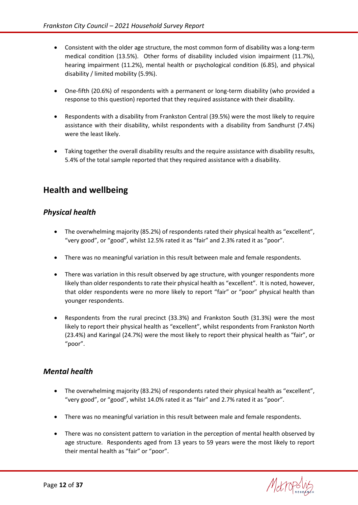- Consistent with the older age structure, the most common form of disability was a long-term medical condition (13.5%). Other forms of disability included vision impairment (11.7%), hearing impairment (11.2%), mental health or psychological condition (6.85), and physical disability / limited mobility (5.9%).
- One-fifth (20.6%) of respondents with a permanent or long-term disability (who provided a response to this question) reported that they required assistance with their disability.
- Respondents with a disability from Frankston Central (39.5%) were the most likely to require assistance with their disability, whilst respondents with a disability from Sandhurst (7.4%) were the least likely.
- Taking together the overall disability results and the require assistance with disability results, 5.4% of the total sample reported that they required assistance with a disability.

# <span id="page-11-0"></span>**Health and wellbeing**

#### <span id="page-11-1"></span>*Physical health*

- The overwhelming majority (85.2%) of respondents rated their physical health as "excellent", "very good", or "good", whilst 12.5% rated it as "fair" and 2.3% rated it as "poor".
- There was no meaningful variation in this result between male and female respondents.
- There was variation in this result observed by age structure, with younger respondents more likely than older respondents to rate their physical health as "excellent". It is noted, however, that older respondents were no more likely to report "fair" or "poor" physical health than younger respondents.
- Respondents from the rural precinct (33.3%) and Frankston South (31.3%) were the most likely to report their physical health as "excellent", whilst respondents from Frankston North (23.4%) and Karingal (24.7%) were the most likely to report their physical health as "fair", or "poor".

#### <span id="page-11-2"></span>*Mental health*

- The overwhelming majority (83.2%) of respondents rated their physical health as "excellent", "very good", or "good", whilst 14.0% rated it as "fair" and 2.7% rated it as "poor".
- There was no meaningful variation in this result between male and female respondents.
- There was no consistent pattern to variation in the perception of mental health observed by age structure. Respondents aged from 13 years to 59 years were the most likely to report their mental health as "fair" or "poor".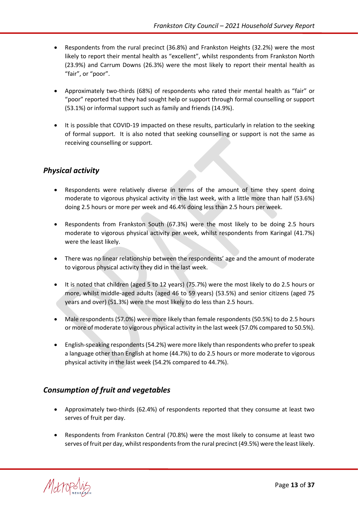- Respondents from the rural precinct (36.8%) and Frankston Heights (32.2%) were the most likely to report their mental health as "excellent", whilst respondents from Frankston North (23.9%) and Carrum Downs (26.3%) were the most likely to report their mental health as "fair", or "poor".
- Approximately two-thirds (68%) of respondents who rated their mental health as "fair" or "poor" reported that they had sought help or support through formal counselling or support (53.1%) or informal support such as family and friends (14.9%).
- It is possible that COVID-19 impacted on these results, particularly in relation to the seeking of formal support. It is also noted that seeking counselling or support is not the same as receiving counselling or support.

# <span id="page-12-0"></span>*Physical activity*

- Respondents were relatively diverse in terms of the amount of time they spent doing moderate to vigorous physical activity in the last week, with a little more than half (53.6%) doing 2.5 hours or more per week and 46.4% doing less than 2.5 hours per week.
- Respondents from Frankston South (67.3%) were the most likely to be doing 2.5 hours moderate to vigorous physical activity per week, whilst respondents from Karingal (41.7%) were the least likely.
- There was no linear relationship between the respondents' age and the amount of moderate to vigorous physical activity they did in the last week.
- It is noted that children (aged 5 to 12 years) (75.7%) were the most likely to do 2.5 hours or more, whilst middle-aged adults (aged 46 to 59 years) (53.5%) and senior citizens (aged 75 years and over) (51.3%) were the most likely to do less than 2.5 hours.
- Male respondents (57.0%) were more likely than female respondents (50.5%) to do 2.5 hours or more of moderate to vigorous physical activity in the last week (57.0% compared to 50.5%).
- English-speaking respondents (54.2%) were more likely than respondents who prefer to speak a language other than English at home (44.7%) to do 2.5 hours or more moderate to vigorous physical activity in the last week (54.2% compared to 44.7%).

## <span id="page-12-1"></span>*Consumption of fruit and vegetables*

- Approximately two-thirds (62.4%) of respondents reported that they consume at least two serves of fruit per day.
- Respondents from Frankston Central (70.8%) were the most likely to consume at least two serves of fruit per day, whilst respondents from the rural precinct (49.5%) were the least likely.

Metropol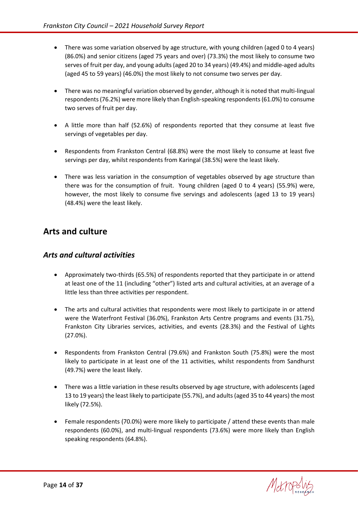- There was some variation observed by age structure, with young children (aged 0 to 4 years) (86.0%) and senior citizens (aged 75 years and over) (73.3%) the most likely to consume two serves of fruit per day, and young adults (aged 20 to 34 years) (49.4%) and middle-aged adults (aged 45 to 59 years) (46.0%) the most likely to not consume two serves per day.
- There was no meaningful variation observed by gender, although it is noted that multi-lingual respondents (76.2%) were more likely than English-speaking respondents (61.0%) to consume two serves of fruit per day.
- A little more than half (52.6%) of respondents reported that they consume at least five servings of vegetables per day.
- Respondents from Frankston Central (68.8%) were the most likely to consume at least five servings per day, whilst respondents from Karingal (38.5%) were the least likely.
- There was less variation in the consumption of vegetables observed by age structure than there was for the consumption of fruit. Young children (aged 0 to 4 years) (55.9%) were, however, the most likely to consume five servings and adolescents (aged 13 to 19 years) (48.4%) were the least likely.

# <span id="page-13-0"></span>**Arts and culture**

#### <span id="page-13-1"></span>*Arts and cultural activities*

- Approximately two-thirds (65.5%) of respondents reported that they participate in or attend at least one of the 11 (including "other") listed arts and cultural activities, at an average of a little less than three activities per respondent.
- The arts and cultural activities that respondents were most likely to participate in or attend were the Waterfront Festival (36.0%), Frankston Arts Centre programs and events (31.75), Frankston City Libraries services, activities, and events (28.3%) and the Festival of Lights (27.0%).
- Respondents from Frankston Central (79.6%) and Frankston South (75.8%) were the most likely to participate in at least one of the 11 activities, whilst respondents from Sandhurst (49.7%) were the least likely.
- There was a little variation in these results observed by age structure, with adolescents (aged 13 to 19 years) the least likely to participate (55.7%), and adults (aged 35 to 44 years) the most likely (72.5%).
- Female respondents (70.0%) were more likely to participate / attend these events than male respondents (60.0%), and multi-lingual respondents (73.6%) were more likely than English speaking respondents (64.8%).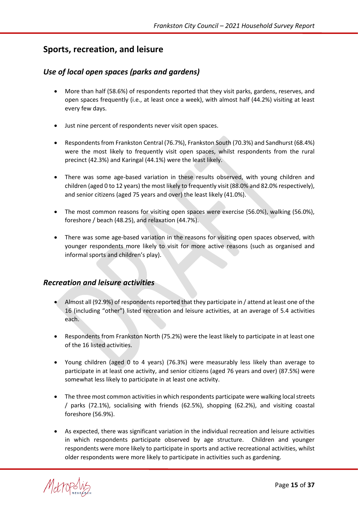# <span id="page-14-0"></span>**Sports, recreation, and leisure**

#### <span id="page-14-1"></span>*Use of local open spaces (parks and gardens)*

- More than half (58.6%) of respondents reported that they visit parks, gardens, reserves, and open spaces frequently (i.e., at least once a week), with almost half (44.2%) visiting at least every few days.
- Just nine percent of respondents never visit open spaces.
- Respondents from Frankston Central (76.7%), Frankston South (70.3%) and Sandhurst (68.4%) were the most likely to frequently visit open spaces, whilst respondents from the rural precinct (42.3%) and Karingal (44.1%) were the least likely.
- There was some age-based variation in these results observed, with young children and children (aged 0 to 12 years) the most likely to frequently visit (88.0% and 82.0% respectively), and senior citizens (aged 75 years and over) the least likely (41.0%).
- The most common reasons for visiting open spaces were exercise (56.0%), walking (56.0%), foreshore / beach (48.25), and relaxation (44.7%).
- There was some age-based variation in the reasons for visiting open spaces observed, with younger respondents more likely to visit for more active reasons (such as organised and informal sports and children's play).

#### <span id="page-14-2"></span>*Recreation and leisure activities*

- Almost all (92.9%) of respondents reported that they participate in / attend at least one of the 16 (including "other") listed recreation and leisure activities, at an average of 5.4 activities each.
- Respondents from Frankston North (75.2%) were the least likely to participate in at least one of the 16 listed activities.
- Young children (aged 0 to 4 years) (76.3%) were measurably less likely than average to participate in at least one activity, and senior citizens (aged 76 years and over) (87.5%) were somewhat less likely to participate in at least one activity.
- The three most common activities in which respondents participate were walking local streets / parks (72.1%), socialising with friends (62.5%), shopping (62.2%), and visiting coastal foreshore (56.9%).
- As expected, there was significant variation in the individual recreation and leisure activities in which respondents participate observed by age structure. Children and younger respondents were more likely to participate in sports and active recreational activities, whilst older respondents were more likely to participate in activities such as gardening.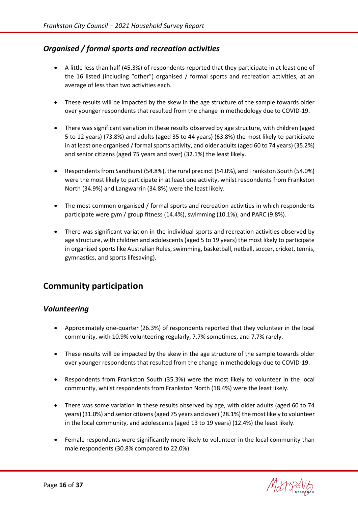## <span id="page-15-0"></span>*Organised / formal sports and recreation activities*

- A little less than half (45.3%) of respondents reported that they participate in at least one of the 16 listed (including "other") organised / formal sports and recreation activities, at an average of less than two activities each.
- These results will be impacted by the skew in the age structure of the sample towards older over younger respondents that resulted from the change in methodology due to COVID-19.
- There was significant variation in these results observed by age structure, with children (aged 5 to 12 years) (73.8%) and adults (aged 35 to 44 years) (63.8%) the most likely to participate in at least one organised / formal sports activity, and older adults (aged 60 to 74 years) (35.2%) and senior citizens (aged 75 years and over) (32.1%) the least likely.
- Respondents from Sandhurst (54.8%), the rural precinct (54.0%), and Frankston South (54.0%) were the most likely to participate in at least one activity, whilst respondents from Frankston North (34.9%) and Langwarrin (34.8%) were the least likely.
- The most common organised / formal sports and recreation activities in which respondents participate were gym / group fitness (14.4%), swimming (10.1%), and PARC (9.8%).
- There was significant variation in the individual sports and recreation activities observed by age structure, with children and adolescents (aged 5 to 19 years) the most likely to participate in organised sports like Australian Rules, swimming, basketball, netball, soccer, cricket, tennis, gymnastics, and sports lifesaving).

# <span id="page-15-1"></span>**Community participation**

#### <span id="page-15-2"></span>*Volunteering*

- Approximately one-quarter (26.3%) of respondents reported that they volunteer in the local community, with 10.9% volunteering regularly, 7.7% sometimes, and 7.7% rarely.
- These results will be impacted by the skew in the age structure of the sample towards older over younger respondents that resulted from the change in methodology due to COVID-19.
- Respondents from Frankston South (35.3%) were the most likely to volunteer in the local community, whilst respondents from Frankston North (18.4%) were the least likely.
- There was some variation in these results observed by age, with older adults (aged 60 to 74 years) (31.0%) and senior citizens (aged 75 years and over) (28.1%) the most likely to volunteer in the local community, and adolescents (aged 13 to 19 years) (12.4%) the least likely.
- Female respondents were significantly more likely to volunteer in the local community than male respondents (30.8% compared to 22.0%).

Metrope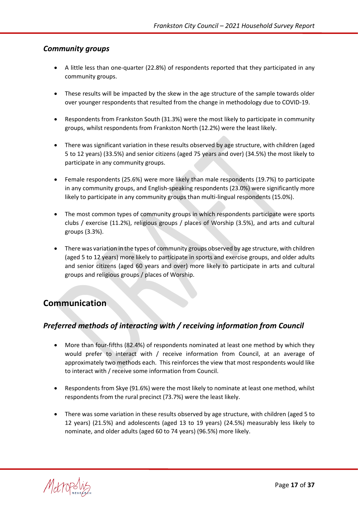#### <span id="page-16-0"></span>*Community groups*

- A little less than one-quarter (22.8%) of respondents reported that they participated in any community groups.
- These results will be impacted by the skew in the age structure of the sample towards older over younger respondents that resulted from the change in methodology due to COVID-19.
- Respondents from Frankston South (31.3%) were the most likely to participate in community groups, whilst respondents from Frankston North (12.2%) were the least likely.
- There was significant variation in these results observed by age structure, with children (aged 5 to 12 years) (33.5%) and senior citizens (aged 75 years and over) (34.5%) the most likely to participate in any community groups.
- Female respondents (25.6%) were more likely than male respondents (19.7%) to participate in any community groups, and English-speaking respondents (23.0%) were significantly more likely to participate in any community groups than multi-lingual respondents (15.0%).
- The most common types of community groups in which respondents participate were sports clubs / exercise (11.2%), religious groups / places of Worship (3.5%), and arts and cultural groups (3.3%).
- There was variation in the types of community groups observed by age structure, with children (aged 5 to 12 years) more likely to participate in sports and exercise groups, and older adults and senior citizens (aged 60 years and over) more likely to participate in arts and cultural groups and religious groups / places of Worship.

# <span id="page-16-1"></span>**Communication**

## <span id="page-16-2"></span>*Preferred methods of interacting with / receiving information from Council*

- More than four-fifths (82.4%) of respondents nominated at least one method by which they would prefer to interact with / receive information from Council, at an average of approximately two methods each. This reinforces the view that most respondents would like to interact with / receive some information from Council.
- Respondents from Skye (91.6%) were the most likely to nominate at least one method, whilst respondents from the rural precinct (73.7%) were the least likely.
- There was some variation in these results observed by age structure, with children (aged 5 to 12 years) (21.5%) and adolescents (aged 13 to 19 years) (24.5%) measurably less likely to nominate, and older adults (aged 60 to 74 years) (96.5%) more likely.

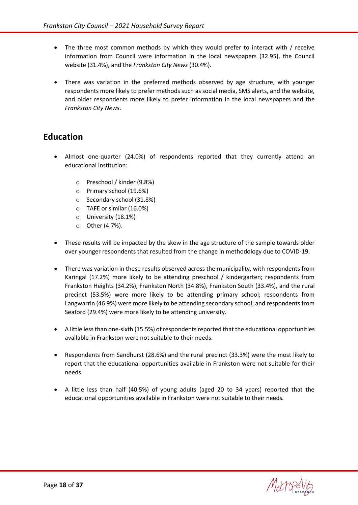- The three most common methods by which they would prefer to interact with / receive information from Council were information in the local newspapers (32.95), the Council website (31.4%), and the *Frankston City News* (30.4%).
- There was variation in the preferred methods observed by age structure, with younger respondents more likely to prefer methods such as social media, SMS alerts, and the website, and older respondents more likely to prefer information in the local newspapers and the *Frankston City News*.

# <span id="page-17-0"></span>**Education**

- Almost one-quarter (24.0%) of respondents reported that they currently attend an educational institution:
	- o Preschool / kinder (9.8%)
	- o Primary school (19.6%)
	- o Secondary school (31.8%)
	- o TAFE or similar (16.0%)
	- o University (18.1%)
	- o Other (4.7%).
- These results will be impacted by the skew in the age structure of the sample towards older over younger respondents that resulted from the change in methodology due to COVID-19.
- There was variation in these results observed across the municipality, with respondents from Karingal (17.2%) more likely to be attending preschool / kindergarten; respondents from Frankston Heights (34.2%), Frankston North (34.8%), Frankston South (33.4%), and the rural precinct (53.5%) were more likely to be attending primary school; respondents from Langwarrin (46.9%) were more likely to be attending secondary school; and respondents from Seaford (29.4%) were more likely to be attending university.
- A little less than one-sixth (15.5%) of respondents reported that the educational opportunities available in Frankston were not suitable to their needs.
- Respondents from Sandhurst (28.6%) and the rural precinct (33.3%) were the most likely to report that the educational opportunities available in Frankston were not suitable for their needs.
- A little less than half (40.5%) of young adults (aged 20 to 34 years) reported that the educational opportunities available in Frankston were not suitable to their needs.

Metrops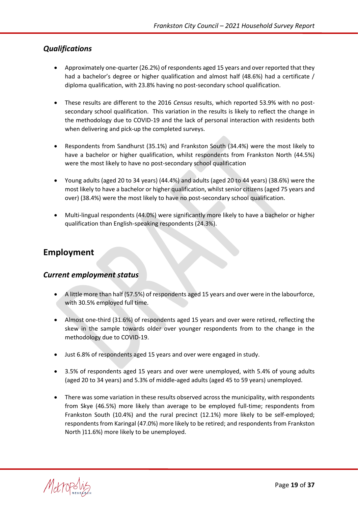#### <span id="page-18-0"></span>*Qualifications*

- Approximately one-quarter (26.2%) of respondents aged 15 years and over reported that they had a bachelor's degree or higher qualification and almost half (48.6%) had a certificate / diploma qualification, with 23.8% having no post-secondary school qualification.
- These results are different to the 2016 *Census* results, which reported 53.9% with no postsecondary school qualification. This variation in the results is likely to reflect the change in the methodology due to COVID-19 and the lack of personal interaction with residents both when delivering and pick-up the completed surveys.
- Respondents from Sandhurst (35.1%) and Frankston South (34.4%) were the most likely to have a bachelor or higher qualification, whilst respondents from Frankston North (44.5%) were the most likely to have no post-secondary school qualification
- Young adults (aged 20 to 34 years) (44.4%) and adults (aged 20 to 44 years) (38.6%) were the most likely to have a bachelor or higher qualification, whilst senior citizens (aged 75 years and over) (38.4%) were the most likely to have no post-secondary school qualification.
- Multi-lingual respondents (44.0%) were significantly more likely to have a bachelor or higher qualification than English-speaking respondents (24.3%).

# <span id="page-18-1"></span>**Employment**

#### <span id="page-18-2"></span>*Current employment status*

- A little more than half (57.5%) of respondents aged 15 years and over were in the labourforce, with 30.5% employed full time.
- Almost one-third (31.6%) of respondents aged 15 years and over were retired, reflecting the skew in the sample towards older over younger respondents from to the change in the methodology due to COVID-19.
- Just 6.8% of respondents aged 15 years and over were engaged in study.
- 3.5% of respondents aged 15 years and over were unemployed, with 5.4% of young adults (aged 20 to 34 years) and 5.3% of middle-aged adults (aged 45 to 59 years) unemployed.
- There was some variation in these results observed across the municipality, with respondents from Skye (46.5%) more likely than average to be employed full-time; respondents from Frankston South (10.4%) and the rural precinct (12.1%) more likely to be self-employed; respondents from Karingal (47.0%) more likely to be retired; and respondents from Frankston North )11.6%) more likely to be unemployed.

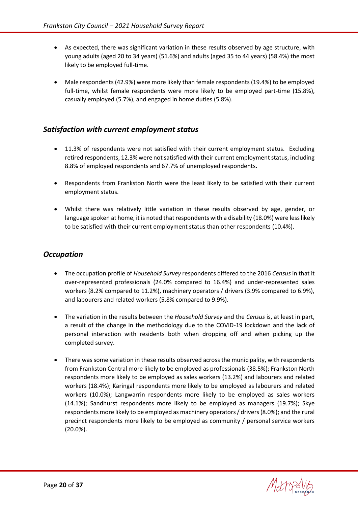- As expected, there was significant variation in these results observed by age structure, with young adults (aged 20 to 34 years) (51.6%) and adults (aged 35 to 44 years) (58.4%) the most likely to be employed full-time.
- Male respondents (42.9%) were more likely than female respondents (19.4%) to be employed full-time, whilst female respondents were more likely to be employed part-time (15.8%), casually employed (5.7%), and engaged in home duties (5.8%).

#### <span id="page-19-0"></span>*Satisfaction with current employment status*

- 11.3% of respondents were not satisfied with their current employment status. Excluding retired respondents, 12.3% were not satisfied with their current employment status, including 8.8% of employed respondents and 67.7% of unemployed respondents.
- Respondents from Frankston North were the least likely to be satisfied with their current employment status.
- Whilst there was relatively little variation in these results observed by age, gender, or language spoken at home, it is noted that respondents with a disability (18.0%) were less likely to be satisfied with their current employment status than other respondents (10.4%).

## <span id="page-19-1"></span>*Occupation*

- The occupation profile of *Household Survey* respondents differed to the 2016 *Census* in that it over-represented professionals (24.0% compared to 16.4%) and under-represented sales workers (8.2% compared to 11.2%), machinery operators / drivers (3.9% compared to 6.9%), and labourers and related workers (5.8% compared to 9.9%).
- The variation in the results between the *Household Survey* and the *Census* is, at least in part, a result of the change in the methodology due to the COVID-19 lockdown and the lack of personal interaction with residents both when dropping off and when picking up the completed survey.
- There was some variation in these results observed across the municipality, with respondents from Frankston Central more likely to be employed as professionals (38.5%); Frankston North respondents more likely to be employed as sales workers (13.2%) and labourers and related workers (18.4%); Karingal respondents more likely to be employed as labourers and related workers (10.0%); Langwarrin respondents more likely to be employed as sales workers (14.1%); Sandhurst respondents more likely to be employed as managers (19.7%); Skye respondents more likely to be employed as machinery operators / drivers(8.0%); and the rural precinct respondents more likely to be employed as community / personal service workers (20.0%).

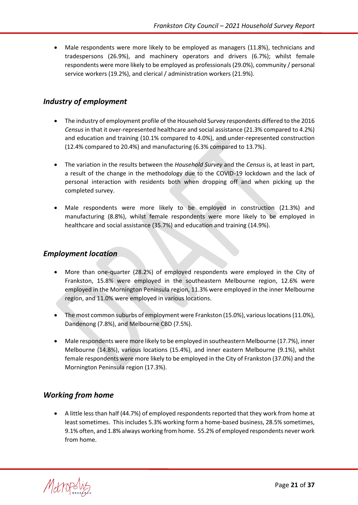• Male respondents were more likely to be employed as managers (11.8%), technicians and tradespersons (26.9%), and machinery operators and drivers (6.7%); whilst female respondents were more likely to be employed as professionals(29.0%), community / personal service workers (19.2%), and clerical / administration workers (21.9%).

## <span id="page-20-0"></span>*Industry of employment*

- The industry of employment profile of the Household Survey respondents differed to the 2016 *Census* in that it over-represented healthcare and social assistance (21.3% compared to 4.2%) and education and training (10.1% compared to 4.0%), and under-represented construction (12.4% compared to 20.4%) and manufacturing (6.3% compared to 13.7%).
- The variation in the results between the *Household Survey* and the *Census* is, at least in part, a result of the change in the methodology due to the COVID-19 lockdown and the lack of personal interaction with residents both when dropping off and when picking up the completed survey.
- Male respondents were more likely to be employed in construction (21.3%) and manufacturing (8.8%), whilst female respondents were more likely to be employed in healthcare and social assistance (35.7%) and education and training (14.9%).

#### <span id="page-20-1"></span>*Employment location*

- More than one-quarter (28.2%) of employed respondents were employed in the City of Frankston, 15.8% were employed in the southeastern Melbourne region, 12.6% were employed in the Mornington Peninsula region, 11.3% were employed in the inner Melbourne region, and 11.0% were employed in various locations.
- The most common suburbs of employment were Frankston (15.0%), various locations (11.0%), Dandenong (7.8%), and Melbourne CBD (7.5%).
- Male respondents were more likely to be employed in southeastern Melbourne (17.7%), inner Melbourne (14.8%), various locations (15.4%), and inner eastern Melbourne (9.1%), whilst female respondents were more likely to be employed in the City of Frankston (37.0%) and the Mornington Peninsula region (17.3%).

## <span id="page-20-2"></span>*Working from home*

• A little less than half (44.7%) of employed respondents reported that they work from home at least sometimes. This includes 5.3% working form a home-based business, 28.5% sometimes, 9.1% often, and 1.8% always working from home. 55.2% of employed respondents never work from home.

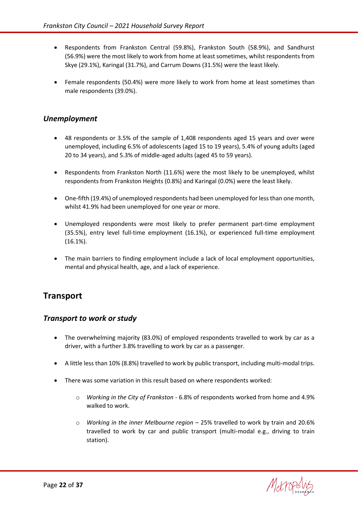- Respondents from Frankston Central (59.8%), Frankston South (58.9%), and Sandhurst (56.9%) were the most likely to work from home at least sometimes, whilst respondents from Skye (29.1%), Karingal (31.7%), and Carrum Downs (31.5%) were the least likely.
- Female respondents (50.4%) were more likely to work from home at least sometimes than male respondents (39.0%).

#### <span id="page-21-0"></span>*Unemployment*

- 48 respondents or 3.5% of the sample of 1,408 respondents aged 15 years and over were unemployed, including 6.5% of adolescents (aged 15 to 19 years), 5.4% of young adults (aged 20 to 34 years), and 5.3% of middle-aged adults (aged 45 to 59 years).
- Respondents from Frankston North (11.6%) were the most likely to be unemployed, whilst respondents from Frankston Heights (0.8%) and Karingal (0.0%) were the least likely.
- One-fifth (19.4%) of unemployed respondents had been unemployed for less than one month, whilst 41.9% had been unemployed for one year or more.
- Unemployed respondents were most likely to prefer permanent part-time employment (35.5%), entry level full-time employment (16.1%), or experienced full-time employment (16.1%).
- The main barriers to finding employment include a lack of local employment opportunities, mental and physical health, age, and a lack of experience.

# <span id="page-21-1"></span>**Transport**

#### <span id="page-21-2"></span>*Transport to work or study*

- The overwhelming majority (83.0%) of employed respondents travelled to work by car as a driver, with a further 3.8% travelling to work by car as a passenger.
- A little less than 10% (8.8%) travelled to work by public transport, including multi-modal trips.
- There was some variation in this result based on where respondents worked:
	- o *Working in the City of Frankston* 6.8% of respondents worked from home and 4.9% walked to work.
	- o *Working in the inner Melbourne region* 25% travelled to work by train and 20.6% travelled to work by car and public transport (multi-modal e.g., driving to train station).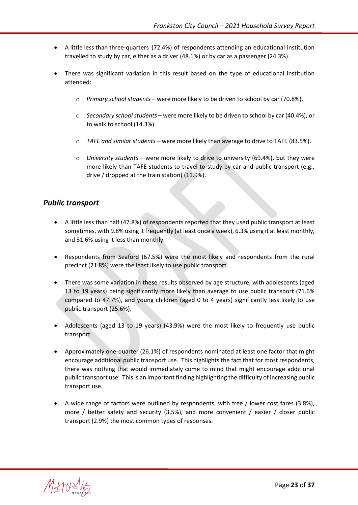- A little less than three-quarters (72.4%) of respondents attending an educational institution travelled to study by car, either as a driver (48.1%) or by car as a passenger (24.3%).
- There was significant variation in this result based on the type of educational institution attended:
	- o *Primary school students* were more likely to be driven to school by car (70.8%).
	- o *Secondary school students* were more likely to be driven to school by car (40.4%), or to walk to school (14.3%).
	- o *TAFE and similar students* were more likely than average to drive to TAFE (83.5%).
	- o *University students* were more likely to drive to university (69.4%), but they were more likely than TAFE students to travel to study by car and public transport (e.g., drive / dropped at the train station) (11.9%).

#### <span id="page-22-0"></span>*Public transport*

- A little less than half (47.8%) of respondents reported that they used public transport at least sometimes, with 9.8% using it frequently (at least once a week), 6.3% using it at least monthly, and 31.6% using it less than monthly.
- Respondents from Seaford (67.5%) were the most likely and respondents from the rural precinct (21.8%) were the least likely to use public transport.
- There was some variation in these results observed by age structure, with adolescents (aged 13 to 19 years) being significantly more likely than average to use public transport (71.6% compared to 47.7%), and young children (aged 0 to 4 years) significantly less likely to use public transport (25.6%).
- Adolescents (aged 13 to 19 years) (43.9%) were the most likely to frequently use public transport.
- Approximately one-quarter (26.1%) of respondents nominated at least one factor that might encourage additional public transport use. This highlights the fact that for most respondents, there was nothing that would immediately come to mind that might encourage additional public transport use. This is an important finding highlighting the difficulty of increasing public transport use.
- A wide range of factors were outlined by respondents, with free / lower cost fares (3.8%), more / better safety and security (3.5%), and more convenient / easier / closer public transport (2.9%) the most common types of responses.

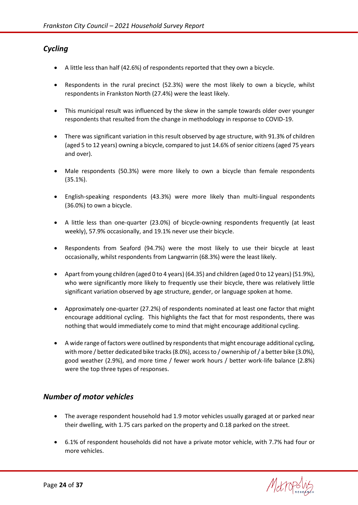## <span id="page-23-0"></span>*Cycling*

- A little less than half (42.6%) of respondents reported that they own a bicycle.
- Respondents in the rural precinct (52.3%) were the most likely to own a bicycle, whilst respondents in Frankston North (27.4%) were the least likely.
- This municipal result was influenced by the skew in the sample towards older over younger respondents that resulted from the change in methodology in response to COVID-19.
- There was significant variation in this result observed by age structure, with 91.3% of children (aged 5 to 12 years) owning a bicycle, compared to just 14.6% of senior citizens (aged 75 years and over).
- Male respondents (50.3%) were more likely to own a bicycle than female respondents (35.1%).
- English-speaking respondents (43.3%) were more likely than multi-lingual respondents (36.0%) to own a bicycle.
- A little less than one-quarter (23.0%) of bicycle-owning respondents frequently (at least weekly), 57.9% occasionally, and 19.1% never use their bicycle.
- Respondents from Seaford (94.7%) were the most likely to use their bicycle at least occasionally, whilst respondents from Langwarrin (68.3%) were the least likely.
- Apart from young children (aged 0 to 4 years) (64.35) and children (aged 0 to 12 years) (51.9%), who were significantly more likely to frequently use their bicycle, there was relatively little significant variation observed by age structure, gender, or language spoken at home.
- Approximately one-quarter (27.2%) of respondents nominated at least one factor that might encourage additional cycling. This highlights the fact that for most respondents, there was nothing that would immediately come to mind that might encourage additional cycling.
- A wide range of factors were outlined by respondents that might encourage additional cycling, with more / better dedicated bike tracks (8.0%), access to / ownership of / a better bike (3.0%), good weather (2.9%), and more time / fewer work hours / better work-life balance (2.8%) were the top three types of responses.

## <span id="page-23-1"></span>*Number of motor vehicles*

- The average respondent household had 1.9 motor vehicles usually garaged at or parked near their dwelling, with 1.75 cars parked on the property and 0.18 parked on the street.
- 6.1% of respondent households did not have a private motor vehicle, with 7.7% had four or more vehicles.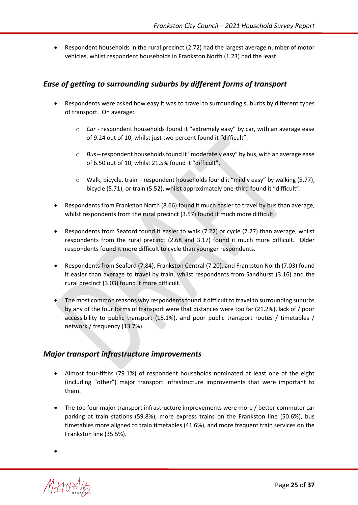• Respondent households in the rural precinct (2.72) had the largest average number of motor vehicles, whilst respondent households in Frankston North (1.23) had the least.

## <span id="page-24-0"></span>*Ease of getting to surrounding suburbs by different forms of transport*

- Respondents were asked how easy it was to travel to surrounding suburbs by different types of transport. On average:
	- o *Car* respondent households found it "extremely easy" by car, with an average ease of 9.24 out of 10, whilst just two percent found it "difficult".
	- o *Bus* respondent households found it "moderately easy" by bus, with an average ease of 6.50 out of 10, whilst 21.5% found it "difficult".
	- $\circ$  Walk, bicycle, train respondent households found it "mildly easy" by walking (5.77), bicycle (5.71), or train (5.52), whilst approximately one-third found it "difficult".
- Respondents from Frankston North (8.66) found it much easier to travel by bus than average, whilst respondents from the rural precinct (3.57) found it much more difficult.
- Respondents from Seaford found it easier to walk (7.22) or cycle (7.27) than average, whilst respondents from the rural precinct (2.68 and 3.17) found it much more difficult. Older respondents found it more difficult to cycle than younger respondents.
- Respondents from Seaford (7.84), Frankston Central (7.20), and Frankston North (7.03) found it easier than average to travel by train, whilst respondents from Sandhurst (3.16) and the rural precinct (3.03) found it more difficult.
- The most common reasons why respondents found it difficult to travel to surrounding suburbs by any of the four forms of transport were that distances were too far (21.2%), lack of / poor accessibility to public transport (15.1%), and poor public transport routes / timetables / network / frequency (13.7%).

## <span id="page-24-1"></span>*Major transport infrastructure improvements*

- Almost four-fifths (79.1%) of respondent households nominated at least one of the eight (including "other") major transport infrastructure improvements that were important to them.
- The top four major transport infrastructure improvements were more / better commuter car parking at train stations (59.8%), more express trains on the Frankston line (50.6%), bus timetables more aligned to train timetables (41.6%), and more frequent train services on the Frankston line (35.5%).



•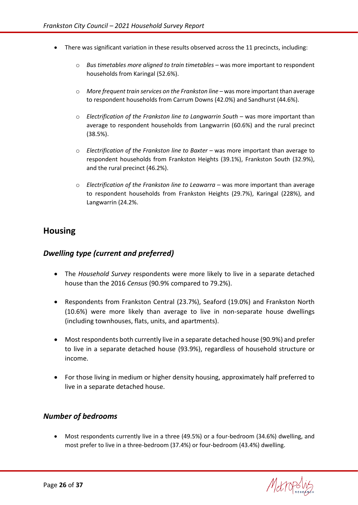- There was significant variation in these results observed across the 11 precincts, including:
	- o *Bus timetables more aligned to train timetables* was more important to respondent households from Karingal (52.6%).
	- o *More frequent train services on the Frankston line* was more important than average to respondent households from Carrum Downs (42.0%) and Sandhurst (44.6%).
	- o *Electrification of the Frankston line to Langwarrin South* was more important than average to respondent households from Langwarrin (60.6%) and the rural precinct (38.5%).
	- o *Electrification of the Frankston line to Baxter*  was more important than average to respondent households from Frankston Heights (39.1%), Frankston South (32.9%), and the rural precinct (46.2%).
	- o *Electrification of the Frankston line to Leawarra* was more important than average to respondent households from Frankston Heights (29.7%), Karingal (228%), and Langwarrin (24.2%.

# <span id="page-25-0"></span>**Housing**

#### <span id="page-25-1"></span>*Dwelling type (current and preferred)*

- The *Household Survey* respondents were more likely to live in a separate detached house than the 2016 *Census* (90.9% compared to 79.2%).
- Respondents from Frankston Central (23.7%), Seaford (19.0%) and Frankston North (10.6%) were more likely than average to live in non-separate house dwellings (including townhouses, flats, units, and apartments).
- Most respondents both currently live in a separate detached house (90.9%) and prefer to live in a separate detached house (93.9%), regardless of household structure or income.
- For those living in medium or higher density housing, approximately half preferred to live in a separate detached house.

#### <span id="page-25-2"></span>*Number of bedrooms*

• Most respondents currently live in a three (49.5%) or a four-bedroom (34.6%) dwelling, and most prefer to live in a three-bedroom (37.4%) or four-bedroom (43.4%) dwelling.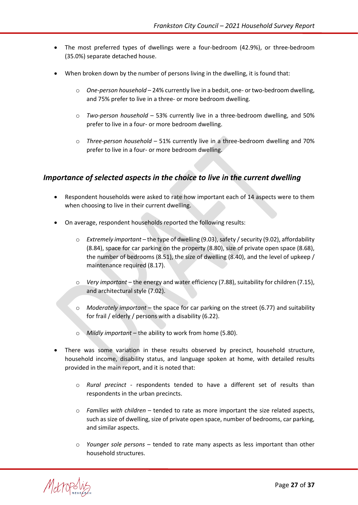- The most preferred types of dwellings were a four-bedroom (42.9%), or three-bedroom (35.0%) separate detached house.
- When broken down by the number of persons living in the dwelling, it is found that:
	- o *One-person household* 24% currently live in a bedsit, one- or two-bedroom dwelling, and 75% prefer to live in a three- or more bedroom dwelling.
	- o *Two-person household* 53% currently live in a three-bedroom dwelling, and 50% prefer to live in a four- or more bedroom dwelling.
	- o *Three-person household* 51% currently live in a three-bedroom dwelling and 70% prefer to live in a four- or more bedroom dwelling.

#### <span id="page-26-0"></span>*Importance of selected aspects in the choice to live in the current dwelling*

- Respondent households were asked to rate how important each of 14 aspects were to them when choosing to live in their current dwelling.
- On average, respondent households reported the following results:
	- o *Extremely important* the type of dwelling (9.03), safety / security (9.02), affordability (8.84), space for car parking on the property (8.80), size of private open space (8.68), the number of bedrooms (8.51), the size of dwelling (8.40), and the level of upkeep / maintenance required (8.17).
	- o *Very important* the energy and water efficiency (7.88), suitability for children (7.15), and architectural style (7.02).
	- o *Moderately important* the space for car parking on the street (6.77) and suitability for frail / elderly / persons with a disability (6.22).
	- o *Mildly important* the ability to work from home (5.80).
- There was some variation in these results observed by precinct, household structure, household income, disability status, and language spoken at home, with detailed results provided in the main report, and it is noted that:
	- o *Rural precinct* respondents tended to have a different set of results than respondents in the urban precincts.
	- o *Families with children* tended to rate as more important the size related aspects, such as size of dwelling, size of private open space, number of bedrooms, car parking, and similar aspects.
	- o *Younger sole persons* tended to rate many aspects as less important than other household structures.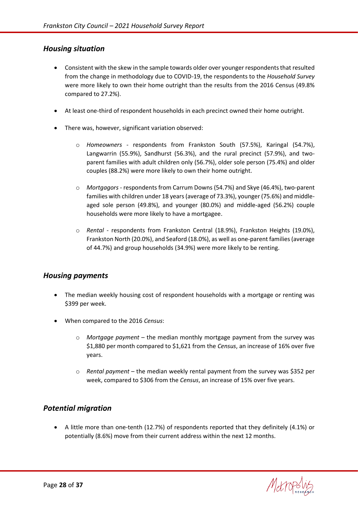#### <span id="page-27-0"></span>*Housing situation*

- Consistent with the skew in the sample towards older over younger respondents that resulted from the change in methodology due to COVID-19, the respondents to the *Household Survey* were more likely to own their home outright than the results from the 2016 Census (49.8% compared to 27.2%).
- At least one-third of respondent households in each precinct owned their home outright.
- There was, however, significant variation observed:
	- o *Homeowners* respondents from Frankston South (57.5%), Karingal (54.7%), Langwarrin (55.9%), Sandhurst (56.3%), and the rural precinct (57.9%), and twoparent families with adult children only (56.7%), older sole person (75.4%) and older couples (88.2%) were more likely to own their home outright.
	- o *Mortgagors* respondents from Carrum Downs (54.7%) and Skye (46.4%), two-parent families with children under 18 years(average of 73.3%), younger (75.6%) and middleaged sole person (49.8%), and younger (80.0%) and middle-aged (56.2%) couple households were more likely to have a mortgagee.
	- o *Rental* respondents from Frankston Central (18.9%), Frankston Heights (19.0%), Frankston North (20.0%), and Seaford (18.0%), as well as one-parent families (average of 44.7%) and group households (34.9%) were more likely to be renting.

#### <span id="page-27-1"></span>*Housing payments*

- The median weekly housing cost of respondent households with a mortgage or renting was \$399 per week.
- When compared to the 2016 *Census*:
	- o *Mortgage payment* the median monthly mortgage payment from the survey was \$1,880 per month compared to \$1,621 from the *Census*, an increase of 16% over five years.
	- o *Rental payment* the median weekly rental payment from the survey was \$352 per week, compared to \$306 from the *Census*, an increase of 15% over five years.

#### <span id="page-27-2"></span>*Potential migration*

• A little more than one-tenth (12.7%) of respondents reported that they definitely (4.1%) or potentially (8.6%) move from their current address within the next 12 months.

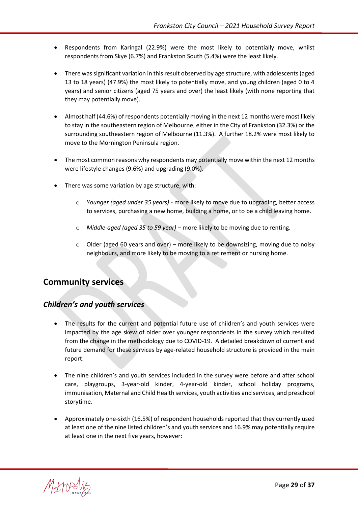- Respondents from Karingal (22.9%) were the most likely to potentially move, whilst respondents from Skye (6.7%) and Frankston South (5.4%) were the least likely.
- There was significant variation in this result observed by age structure, with adolescents (aged 13 to 18 years) (47.9%) the most likely to potentially move, and young children (aged 0 to 4 years) and senior citizens (aged 75 years and over) the least likely (with none reporting that they may potentially move).
- Almost half (44.6%) of respondents potentially moving in the next 12 months were most likely to stay in the southeastern region of Melbourne, either in the City of Frankston (32.3%) or the surrounding southeastern region of Melbourne (11.3%). A further 18.2% were most likely to move to the Mornington Peninsula region.
- The most common reasons why respondents may potentially move within the next 12 months were lifestyle changes (9.6%) and upgrading (9.0%).
- There was some variation by age structure, with:
	- o *Younger (aged under 35 years)* more likely to move due to upgrading, better access to services, purchasing a new home, building a home, or to be a child leaving home.
	- o *Middle-aged (aged 35 to 59 year)* more likely to be moving due to renting.
	- $\circ$  Older (aged 60 years and over) more likely to be downsizing, moving due to noisy neighbours, and more likely to be moving to a retirement or nursing home.

# <span id="page-28-0"></span>**Community services**

#### <span id="page-28-1"></span>*Children's and youth services*

- The results for the current and potential future use of children's and youth services were impacted by the age skew of older over younger respondents in the survey which resulted from the change in the methodology due to COVID-19. A detailed breakdown of current and future demand for these services by age-related household structure is provided in the main report.
- The nine children's and youth services included in the survey were before and after school care, playgroups, 3-year-old kinder, 4-year-old kinder, school holiday programs, immunisation, Maternal and Child Health services, youth activities and services, and preschool storytime.
- Approximately one-sixth (16.5%) of respondent households reported that they currently used at least one of the nine listed children's and youth services and 16.9% may potentially require at least one in the next five years, however:

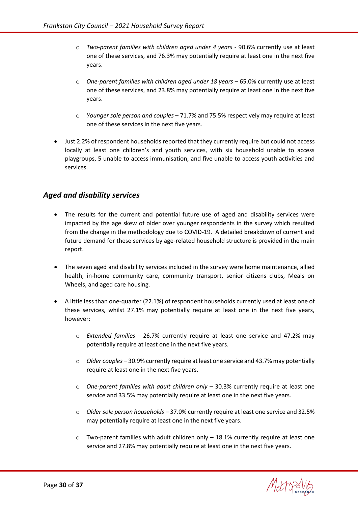- o *Two-parent families with children aged under 4 years* 90.6% currently use at least one of these services, and 76.3% may potentially require at least one in the next five years.
- o *One-parent families with children aged under 18 years* 65.0% currently use at least one of these services, and 23.8% may potentially require at least one in the next five years.
- o *Younger sole person and couples* 71.7% and 75.5% respectively may require at least one of these services in the next five years.
- Just 2.2% of respondent households reported that they currently require but could not access locally at least one children's and youth services, with six household unable to access playgroups, 5 unable to access immunisation, and five unable to access youth activities and services.

#### <span id="page-29-0"></span>*Aged and disability services*

- The results for the current and potential future use of aged and disability services were impacted by the age skew of older over younger respondents in the survey which resulted from the change in the methodology due to COVID-19. A detailed breakdown of current and future demand for these services by age-related household structure is provided in the main report.
- The seven aged and disability services included in the survey were home maintenance, allied health, in-home community care, community transport, senior citizens clubs, Meals on Wheels, and aged care housing.
- A little less than one-quarter (22.1%) of respondent households currently used at least one of these services, whilst 27.1% may potentially require at least one in the next five years, however:
	- o *Extended families* 26.7% currently require at least one service and 47.2% may potentially require at least one in the next five years.
	- o *Older couples* 30.9% currently require at least one service and 43.7% may potentially require at least one in the next five years.
	- o *One-parent families with adult children only* 30.3% currently require at least one service and 33.5% may potentially require at least one in the next five years.
	- o *Older sole person households* 37.0% currently require at least one service and 32.5% may potentially require at least one in the next five years.
	- $\circ$  Two-parent families with adult children only  $-18.1\%$  currently require at least one service and 27.8% may potentially require at least one in the next five years.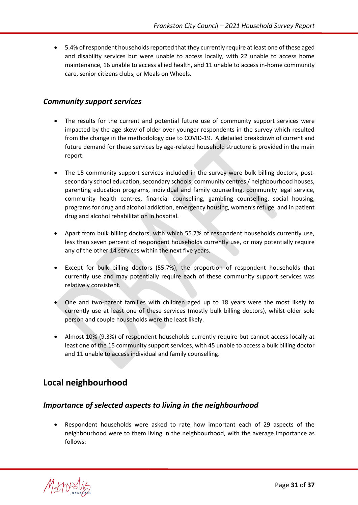• 5.4% of respondent households reported that they currently require at least one of these aged and disability services but were unable to access locally, with 22 unable to access home maintenance, 16 unable to access allied health, and 11 unable to access in-home community care, senior citizens clubs, or Meals on Wheels.

#### <span id="page-30-0"></span>*Community support services*

- The results for the current and potential future use of community support services were impacted by the age skew of older over younger respondents in the survey which resulted from the change in the methodology due to COVID-19. A detailed breakdown of current and future demand for these services by age-related household structure is provided in the main report.
- The 15 community support services included in the survey were bulk billing doctors, postsecondary school education, secondary schools, community centres / neighbourhood houses, parenting education programs, individual and family counselling, community legal service, community health centres, financial counselling, gambling counselling, social housing, programs for drug and alcohol addiction, emergency housing, women's refuge, and in patient drug and alcohol rehabilitation in hospital.
- Apart from bulk billing doctors, with which 55.7% of respondent households currently use, less than seven percent of respondent households currently use, or may potentially require any of the other 14 services within the next five years.
- Except for bulk billing doctors (55.7%), the proportion of respondent households that currently use and may potentially require each of these community support services was relatively consistent.
- One and two-parent families with children aged up to 18 years were the most likely to currently use at least one of these services (mostly bulk billing doctors), whilst older sole person and couple households were the least likely.
- Almost 10% (9.3%) of respondent households currently require but cannot access locally at least one of the 15 community support services, with 45 unable to access a bulk billing doctor and 11 unable to access individual and family counselling.

# <span id="page-30-1"></span>**Local neighbourhood**

#### <span id="page-30-2"></span>*Importance of selected aspects to living in the neighbourhood*

• Respondent households were asked to rate how important each of 29 aspects of the neighbourhood were to them living in the neighbourhood, with the average importance as follows:

Metropol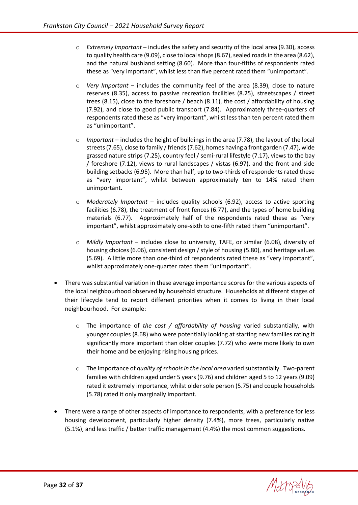- o *Extremely Important* includes the safety and security of the local area (9.30), access to quality health care (9.09), close to local shops (8.67), sealed roads in the area (8.62), and the natural bushland setting (8.60). More than four-fifths of respondents rated these as "very important", whilst less than five percent rated them "unimportant".
- o *Very Important* includes the community feel of the area (8.39), close to nature reserves (8.35), access to passive recreation facilities (8.25), streetscapes / street trees (8.15), close to the foreshore / beach (8.11), the cost / affordability of housing (7.92), and close to good public transport (7.84). Approximately three-quarters of respondents rated these as "very important", whilst less than ten percent rated them as "unimportant".
- o *Important* includes the height of buildings in the area (7.78), the layout of the local streets (7.65), close to family / friends (7.62), homes having a front garden (7.47), wide grassed nature strips (7.25), country feel / semi-rural lifestyle (7.17), views to the bay / foreshore (7.12), views to rural landscapes / vistas (6.97), and the front and side building setbacks (6.95). More than half, up to two-thirds of respondents rated these as "very important", whilst between approximately ten to 14% rated them unimportant.
- o *Moderately Important* includes quality schools (6.92), access to active sporting facilities (6.78), the treatment of front fences (6.77), and the types of home building materials (6.77). Approximately half of the respondents rated these as "very important", whilst approximately one-sixth to one-fifth rated them "unimportant".
- o *Mildly Important* includes close to university, TAFE, or similar (6.08), diversity of housing choices (6.06), consistent design / style of housing (5.80), and heritage values (5.69). A little more than one-third of respondents rated these as "very important", whilst approximately one-quarter rated them "unimportant".
- There was substantial variation in these average importance scores for the various aspects of the local neighbourhood observed by household structure. Households at different stages of their lifecycle tend to report different priorities when it comes to living in their local neighbourhood. For example:
	- o The importance of *the cost / affordability of housing* varied substantially, with younger couples (8.68) who were potentially looking at starting new families rating it significantly more important than older couples (7.72) who were more likely to own their home and be enjoying rising housing prices.
	- o The importance of *quality of schools in the local area* varied substantially. Two-parent families with children aged under 5 years (9.76) and children aged 5 to 12 years (9.09) rated it extremely importance, whilst older sole person (5.75) and couple households (5.78) rated it only marginally important.
- There were a range of other aspects of importance to respondents, with a preference for less housing development, particularly higher density (7.4%), more trees, particularly native (5.1%), and less traffic / better traffic management (4.4%) the most common suggestions.

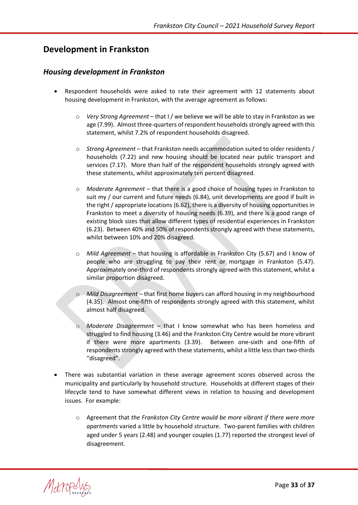# <span id="page-32-0"></span>**Development in Frankston**

#### <span id="page-32-1"></span>*Housing development in Frankston*

- Respondent households were asked to rate their agreement with 12 statements about housing development in Frankston, with the average agreement as follows:
	- o *Very Strong Agreement* that I / we believe we will be able to stay in Frankston as we age (7.99). Almost three-quarters of respondent households strongly agreed with this statement, whilst 7.2% of respondent households disagreed.
	- o *Strong Agreement* that Frankston needs accommodation suited to older residents / households (7.22) and new housing should be located near public transport and services (7.17). More than half of the respondent households strongly agreed with these statements, whilst approximately ten percent disagreed.
	- o *Moderate Agreement* that there is a good choice of housing types in Frankston to suit my / our current and future needs (6.84), unit developments are good if built in the right / appropriate locations (6.62), there is a diversity of housing opportunities in Frankston to meet a diversity of housing needs (6.39), and there is a good range of existing block sizes that allow different types of residential experiences in Frankston (6.23). Between 40% and 50% of respondents strongly agreed with these statements, whilst between 10% and 20% disagreed.
	- o *Mild Agreement* that housing is affordable in Frankston City (5.67) and I know of people who are struggling to pay their rent or mortgage in Frankston (5.47). Approximately one-third of respondents strongly agreed with this statement, whilst a similar proportion disagreed.
	- o *Mild Disagreement* that first home buyers can afford housing in my neighbourhood (4.35). Almost one-fifth of respondents strongly agreed with this statement, whilst almost half disagreed.
	- *Moderate Disagreement* that I know somewhat who has been homeless and struggled to find housing (3.46) and the Frankston City Centre would be more vibrant if there were more apartments (3.39). Between one-sixth and one-fifth of respondents strongly agreed with these statements, whilst a little less than two-thirds "disagreed".
- There was substantial variation in these average agreement scores observed across the municipality and particularly by household structure. Households at different stages of their lifecycle tend to have somewhat different views in relation to housing and development issues. For example:
	- o Agreement that *the Frankston City Centre would be more vibrant if there were more apartments* varied a little by household structure. Two-parent families with children aged under 5 years (2.48) and younger couples (1.77) reported the strongest level of disagreement.

Metropol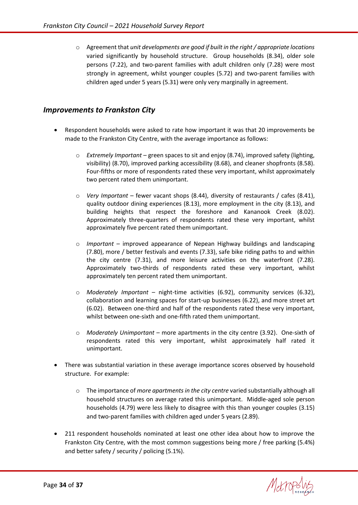o Agreement that *unit developments are good if built in the right / appropriate locations*  varied significantly by household structure. Group households (8.34), older sole persons (7.22), and two-parent families with adult children only (7.28) were most strongly in agreement, whilst younger couples (5.72) and two-parent families with children aged under 5 years (5.31) were only very marginally in agreement.

#### <span id="page-33-0"></span>*Improvements to Frankston City*

- Respondent households were asked to rate how important it was that 20 improvements be made to the Frankston City Centre, with the average importance as follows:
	- o *Extremely Important* green spaces to sit and enjoy (8.74), improved safety (lighting, visibility) (8.70), improved parking accessibility (8.68), and cleaner shopfronts (8.58). Four-fifths or more of respondents rated these very important, whilst approximately two percent rated them unimportant.
	- o *Very Important* fewer vacant shops (8.44), diversity of restaurants / cafes (8.41), quality outdoor dining experiences (8.13), more employment in the city (8.13), and building heights that respect the foreshore and Kananook Creek (8.02). Approximately three-quarters of respondents rated these very important, whilst approximately five percent rated them unimportant.
	- o *Important* improved appearance of Nepean Highway buildings and landscaping (7.80), more / better festivals and events (7.33), safe bike riding paths to and within the city centre (7.31), and more leisure activities on the waterfront (7.28). Approximately two-thirds of respondents rated these very important, whilst approximately ten percent rated them unimportant.
	- o *Moderately Important* night-time activities (6.92), community services (6.32), collaboration and learning spaces for start-up businesses (6.22), and more street art (6.02). Between one-third and half of the respondents rated these very important, whilst between one-sixth and one-fifth rated them unimportant.
	- o *Moderately Unimportant* more apartments in the city centre (3.92). One-sixth of respondents rated this very important, whilst approximately half rated it unimportant.
- There was substantial variation in these average importance scores observed by household structure. For example:
	- o The importance of *more apartments in the city centre* varied substantially although all household structures on average rated this unimportant. Middle-aged sole person households (4.79) were less likely to disagree with this than younger couples (3.15) and two-parent families with children aged under 5 years (2.89).
- 211 respondent households nominated at least one other idea about how to improve the Frankston City Centre, with the most common suggestions being more / free parking (5.4%) and better safety / security / policing (5.1%).

Metrops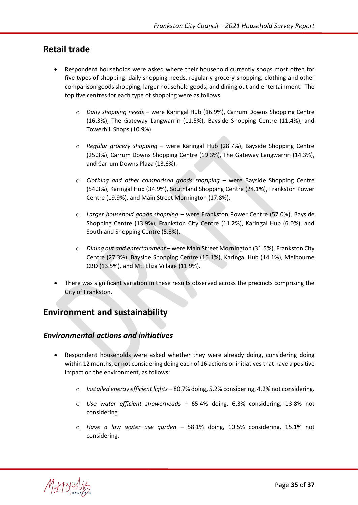# <span id="page-34-0"></span>**Retail trade**

- Respondent households were asked where their household currently shops most often for five types of shopping: daily shopping needs, regularly grocery shopping, clothing and other comparison goods shopping, larger household goods, and dining out and entertainment. The top five centres for each type of shopping were as follows:
	- o *Daily shopping needs* were Karingal Hub (16.9%), Carrum Downs Shopping Centre (16.3%), The Gateway Langwarrin (11.5%), Bayside Shopping Centre (11.4%), and Towerhill Shops (10.9%).
	- o *Regular grocery shopping* were Karingal Hub (28.7%), Bayside Shopping Centre (25.3%), Carrum Downs Shopping Centre (19.3%), The Gateway Langwarrin (14.3%), and Carrum Downs Plaza (13.6%).
	- o *Clothing and other comparison goods shopping* were Bayside Shopping Centre (54.3%), Karingal Hub (34.9%), Southland Shopping Centre (24.1%), Frankston Power Centre (19.9%), and Main Street Mornington (17.8%).
	- o *Larger household goods shopping* were Frankston Power Centre (57.0%), Bayside Shopping Centre (13.9%), Frankston City Centre (11.2%), Karingal Hub (6.0%), and Southland Shopping Centre (5.3%).
	- o *Dining out and entertainment* were Main Street Mornington (31.5%), Frankston City Centre (27.3%), Bayside Shopping Centre (15.1%), Karingal Hub (14.1%), Melbourne CBD (13.5%), and Mt. Eliza Village (11.9%).
- There was significant variation in these results observed across the precincts comprising the City of Frankston.

# <span id="page-34-1"></span>**Environment and sustainability**

#### <span id="page-34-2"></span>*Environmental actions and initiatives*

- Respondent households were asked whether they were already doing, considering doing within 12 months, or not considering doing each of 16 actions or initiatives that have a positive impact on the environment, as follows:
	- o *Installed energy efficient lights* 80.7% doing, 5.2% considering, 4.2% not considering.
	- o *Use water efficient showerheads* 65.4% doing, 6.3% considering, 13.8% not considering.
	- o *Have a low water use garden* 58.1% doing, 10.5% considering, 15.1% not considering.

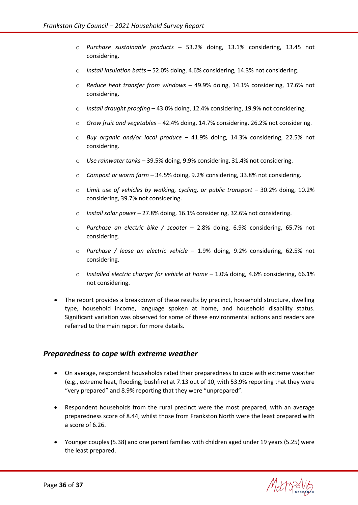- o *Purchase sustainable products* 53.2% doing, 13.1% considering, 13.45 not considering.
- o *Install insulation batts* 52.0% doing, 4.6% considering, 14.3% not considering.
- o *Reduce heat transfer from windows* 49.9% doing, 14.1% considering, 17.6% not considering.
- o *Install draught proofing* 43.0% doing, 12.4% considering, 19.9% not considering.
- o *Grow fruit and vegetables* 42.4% doing, 14.7% considering, 26.2% not considering.
- o *Buy organic and/or local produce* 41.9% doing, 14.3% considering, 22.5% not considering.
- o *Use rainwater tanks* 39.5% doing, 9.9% considering, 31.4% not considering.
- o *Compost or worm farm* 34.5% doing, 9.2% considering, 33.8% not considering.
- o *Limit use of vehicles by walking, cycling, or public transport* 30.2% doing, 10.2% considering, 39.7% not considering.
- o *Install solar power* 27.8% doing, 16.1% considering, 32.6% not considering.
- o *Purchase an electric bike / scooter* 2.8% doing, 6.9% considering, 65.7% not considering.
- o *Purchase / lease an electric vehicle* 1.9% doing, 9.2% considering, 62.5% not considering.
- o *Installed electric charger for vehicle at home* 1.0% doing, 4.6% considering, 66.1% not considering.
- The report provides a breakdown of these results by precinct, household structure, dwelling type, household income, language spoken at home, and household disability status. Significant variation was observed for some of these environmental actions and readers are referred to the main report for more details.

#### <span id="page-35-0"></span>*Preparedness to cope with extreme weather*

- On average, respondent households rated their preparedness to cope with extreme weather (e.g., extreme heat, flooding, bushfire) at 7.13 out of 10, with 53.9% reporting that they were "very prepared" and 8.9% reporting that they were "unprepared".
- Respondent households from the rural precinct were the most prepared, with an average preparedness score of 8.44, whilst those from Frankston North were the least prepared with a score of 6.26.
- Younger couples (5.38) and one parent families with children aged under 19 years (5.25) were the least prepared.